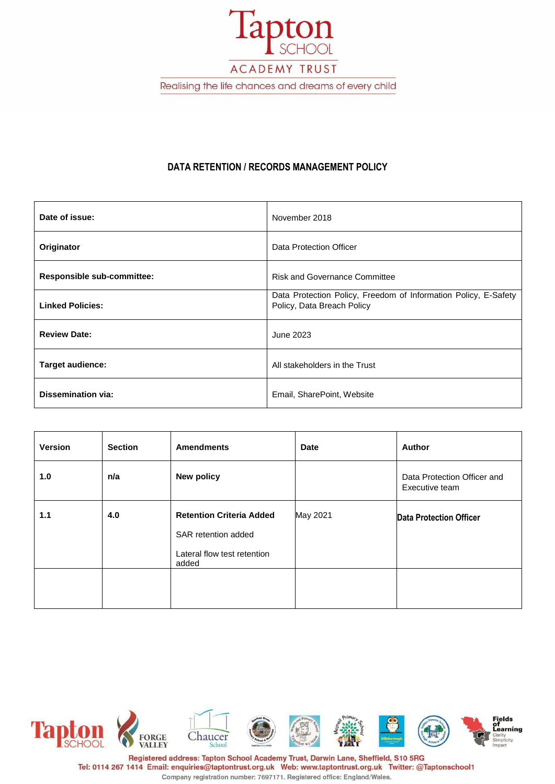

# **DATA RETENTION / RECORDS MANAGEMENT POLICY**

| Date of issue:                    | November 2018                                                                                 |
|-----------------------------------|-----------------------------------------------------------------------------------------------|
| Originator                        | Data Protection Officer                                                                       |
| <b>Responsible sub-committee:</b> | <b>Risk and Governance Committee</b>                                                          |
| <b>Linked Policies:</b>           | Data Protection Policy, Freedom of Information Policy, E-Safety<br>Policy, Data Breach Policy |
| <b>Review Date:</b>               | June 2023                                                                                     |
| <b>Target audience:</b>           | All stakeholders in the Trust                                                                 |
| Dissemination via:                | Email, SharePoint, Website                                                                    |

| <b>Version</b> | <b>Section</b> | <b>Amendments</b>                                                                              | <b>Date</b> | Author                                        |
|----------------|----------------|------------------------------------------------------------------------------------------------|-------------|-----------------------------------------------|
| 1.0            | n/a            | <b>New policy</b>                                                                              |             | Data Protection Officer and<br>Executive team |
| 1.1            | 4.0            | <b>Retention Criteria Added</b><br>SAR retention added<br>Lateral flow test retention<br>added | May 2021    | <b>Data Protection Officer</b>                |
|                |                |                                                                                                |             |                                               |



Tel: 0114 267 1414 Email: enquiries@taptontrust.org.uk Web: www.taptontrust.org.uk Twitter: @Taptonschool1 Company registration number: 7697171. Registered office: England/Wales.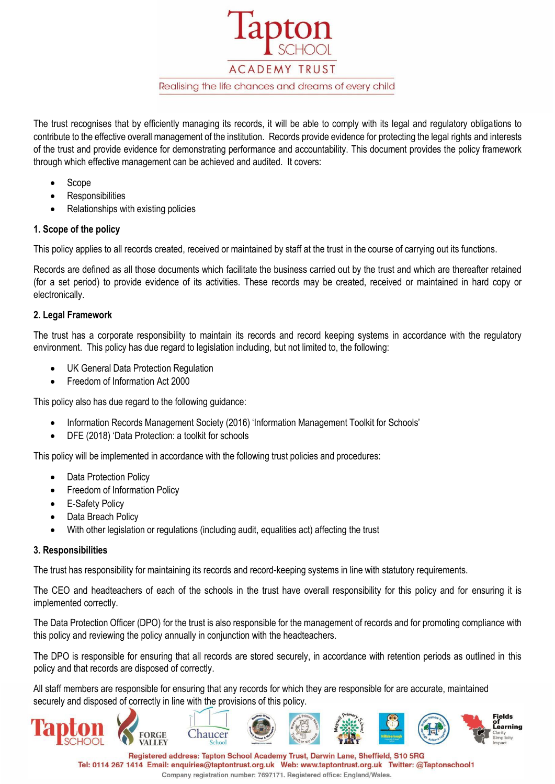**ACADEMY TRUST** Realising the life chances and dreams of every child

The trust recognises that by efficiently managing its records, it will be able to comply with its legal and regulatory obligations to contribute to the effective overall management of the institution. Records provide evidence for protecting the legal rights and interests of the trust and provide evidence for demonstrating performance and accountability. This document provides the policy framework through which effective management can be achieved and audited. It covers:

- Scope
- **Responsibilities**
- Relationships with existing policies

# **1. Scope of the policy**

This policy applies to all records created, received or maintained by staff at the trust in the course of carrying out its functions.

Records are defined as all those documents which facilitate the business carried out by the trust and which are thereafter retained (for a set period) to provide evidence of its activities. These records may be created, received or maintained in hard copy or electronically.

# **2. Legal Framework**

The trust has a corporate responsibility to maintain its records and record keeping systems in accordance with the regulatory environment. This policy has due regard to legislation including, but not limited to, the following:

- UK General Data Protection Regulation
- Freedom of Information Act 2000

This policy also has due regard to the following guidance:

- Information Records Management Society (2016) 'Information Management Toolkit for Schools'
- DFE (2018) 'Data Protection: a toolkit for schools

This policy will be implemented in accordance with the following trust policies and procedures:

- Data Protection Policy
- **Freedom of Information Policy**
- E-Safety Policy
- Data Breach Policy
- With other legislation or regulations (including audit, equalities act) affecting the trust

## **3. Responsibilities**

The trust has responsibility for maintaining its records and record-keeping systems in line with statutory requirements.

The CEO and headteachers of each of the schools in the trust have overall responsibility for this policy and for ensuring it is implemented correctly.

The Data Protection Officer (DPO) for the trust is also responsible for the management of records and for promoting compliance with this policy and reviewing the policy annually in conjunction with the headteachers.

The DPO is responsible for ensuring that all records are stored securely, in accordance with retention periods as outlined in this policy and that records are disposed of correctly.

All staff members are responsible for ensuring that any records for which they are responsible for are accurate, maintained securely and disposed of correctly in line with the provisions of this policy.

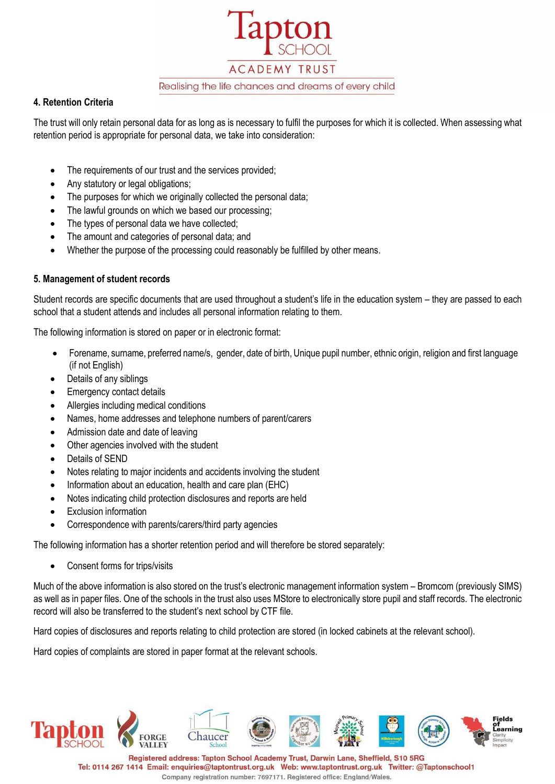

## **4. Retention Criteria**

The trust will only retain personal data for as long as is necessary to fulfil the purposes for which it is collected. When assessing what retention period is appropriate for personal data, we take into consideration:

- The requirements of our trust and the services provided;
- Any statutory or legal obligations;
- The purposes for which we originally collected the personal data;
- The lawful grounds on which we based our processing;
- The types of personal data we have collected;
- The amount and categories of personal data; and
- Whether the purpose of the processing could reasonably be fulfilled by other means.

## **5. Management of student records**

Student records are specific documents that are used throughout a student's life in the education system – they are passed to each school that a student attends and includes all personal information relating to them.

The following information is stored on paper or in electronic format:

- Forename, surname, preferred name/s, gender, date of birth, Unique pupil number, ethnic origin, religion and first language (if not English)
- Details of any siblings
- **Emergency contact details**
- Allergies including medical conditions
- Names, home addresses and telephone numbers of parent/carers
- Admission date and date of leaving
- Other agencies involved with the student
- Details of SEND
- Notes relating to major incidents and accidents involving the student
- Information about an education, health and care plan (EHC)
- Notes indicating child protection disclosures and reports are held
- **Exclusion information**
- Correspondence with parents/carers/third party agencies

The following information has a shorter retention period and will therefore be stored separately:

• Consent forms for trips/visits

Much of the above information is also stored on the trust's electronic management information system – Bromcom (previously SIMS) as well as in paper files. One of the schools in the trust also uses MStore to electronically store pupil and staff records. The electronic record will also be transferred to the student's next school by CTF file.

Hard copies of disclosures and reports relating to child protection are stored (in locked cabinets at the relevant school).

Hard copies of complaints are stored in paper format at the relevant schools.

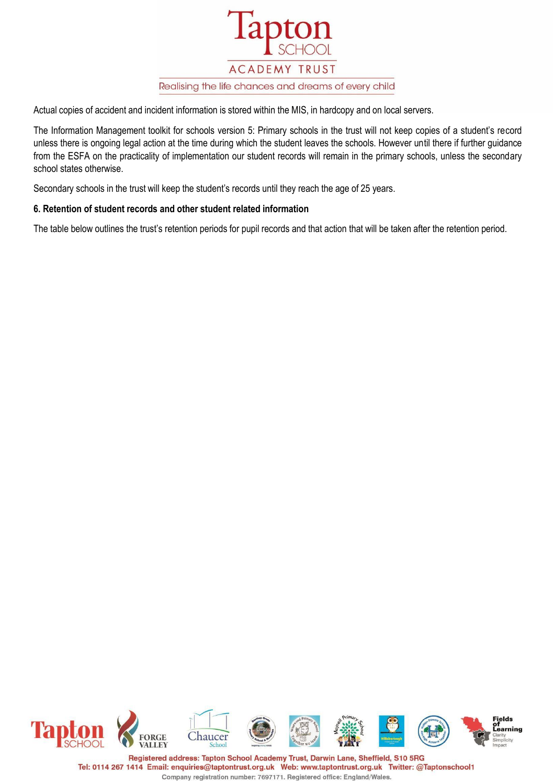

Actual copies of accident and incident information is stored within the MIS, in hardcopy and on local servers.

The Information Management toolkit for schools version 5: Primary schools in the trust will not keep copies of a student's record unless there is ongoing legal action at the time during which the student leaves the schools. However until there if further guidance from the ESFA on the practicality of implementation our student records will remain in the primary schools, unless the secondary school states otherwise.

Secondary schools in the trust will keep the student's records until they reach the age of 25 years.

## **6. Retention of student records and other student related information**

The table below outlines the trust's retention periods for pupil records and that action that will be taken after the retention period.

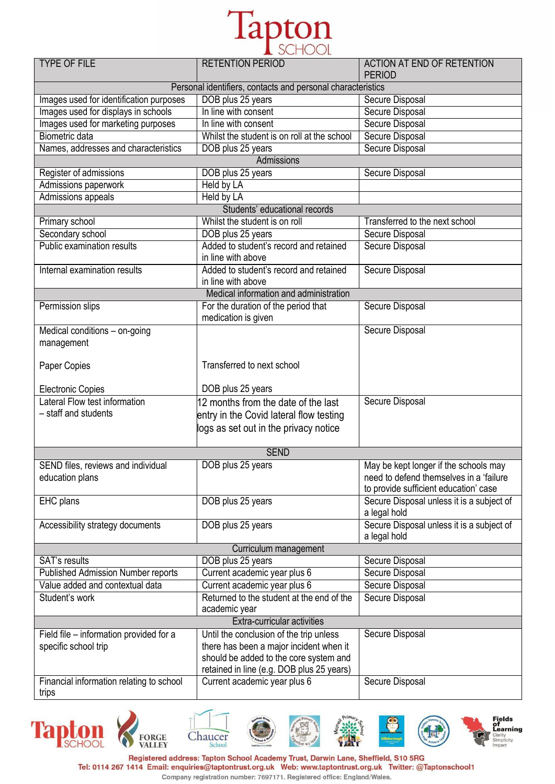

| <b>TYPE OF FILE</b>                       | <b>RETENTION PERIOD</b>                                     | <b>ACTION AT END OF RETENTION</b><br><b>PERIOD</b> |
|-------------------------------------------|-------------------------------------------------------------|----------------------------------------------------|
|                                           | Personal identifiers, contacts and personal characteristics |                                                    |
| Images used for identification purposes   | DOB plus 25 years                                           | <b>Secure Disposal</b>                             |
| Images used for displays in schools       | In line with consent                                        | <b>Secure Disposal</b>                             |
| Images used for marketing purposes        | In line with consent                                        | <b>Secure Disposal</b>                             |
| <b>Biometric data</b>                     | Whilst the student is on roll at the school                 | <b>Secure Disposal</b>                             |
| Names, addresses and characteristics      | DOB plus 25 years                                           | Secure Disposal                                    |
|                                           | Admissions                                                  |                                                    |
| Register of admissions                    | DOB plus 25 years                                           | Secure Disposal                                    |
| Admissions paperwork                      | <b>Held by LA</b>                                           |                                                    |
| <b>Admissions appeals</b>                 | Held by LA                                                  |                                                    |
|                                           | Students' educational records                               |                                                    |
| Primary school                            | Whilst the student is on roll                               | Transferred to the next school                     |
| Secondary school                          | DOB plus 25 years                                           | Secure Disposal                                    |
| Public examination results                | Added to student's record and retained                      | Secure Disposal                                    |
|                                           | in line with above                                          |                                                    |
| Internal examination results              | Added to student's record and retained                      | <b>Secure Disposal</b>                             |
|                                           | in line with above                                          |                                                    |
|                                           | Medical information and administration                      |                                                    |
| Permission slips                          | For the duration of the period that<br>medication is given  | Secure Disposal                                    |
| Medical conditions - on-going             |                                                             | <b>Secure Disposal</b>                             |
| management                                |                                                             |                                                    |
|                                           |                                                             |                                                    |
| Paper Copies                              | Transferred to next school                                  |                                                    |
| <b>Electronic Copies</b>                  | DOB plus 25 years                                           |                                                    |
| Lateral Flow test information             | 12 months from the date of the last                         | <b>Secure Disposal</b>                             |
| - staff and students                      | entry in the Covid lateral flow testing                     |                                                    |
|                                           | logs as set out in the privacy notice                       |                                                    |
|                                           |                                                             |                                                    |
|                                           | <b>SEND</b>                                                 |                                                    |
| SEND files, reviews and individual        | DOB plus 25 years                                           | May be kept longer if the schools may              |
| education plans                           |                                                             | need to defend themselves in a 'failure            |
|                                           |                                                             | to provide sufficient education' case              |
| EHC plans                                 | DOB plus 25 years                                           | Secure Disposal unless it is a subject of          |
|                                           |                                                             | a legal hold                                       |
| Accessibility strategy documents          | DOB plus 25 years                                           | Secure Disposal unless it is a subject of          |
|                                           |                                                             | a legal hold                                       |
| Curriculum management                     |                                                             |                                                    |
| <b>SAT's results</b>                      | DOB plus 25 years                                           | Secure Disposal                                    |
| <b>Published Admission Number reports</b> | Current academic year plus 6                                | Secure Disposal                                    |
| Value added and contextual data           | Current academic year plus 6                                | <b>Secure Disposal</b>                             |
| Student's work                            | Returned to the student at the end of the                   | <b>Secure Disposal</b>                             |
|                                           | academic year                                               |                                                    |
|                                           | Extra-curricular activities                                 |                                                    |
| Field file – information provided for a   | Until the conclusion of the trip unless                     | Secure Disposal                                    |
| specific school trip                      | there has been a major incident when it                     |                                                    |
|                                           | should be added to the core system and                      |                                                    |
|                                           | retained in line (e.g. DOB plus 25 years)                   |                                                    |
| Financial information relating to school  | Current academic year plus 6                                | Secure Disposal                                    |
| trips                                     |                                                             |                                                    |

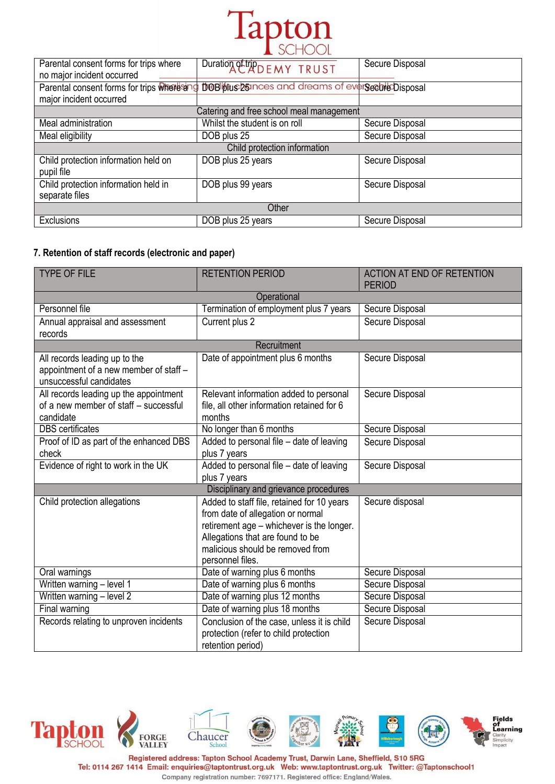

| Parental consent forms for trips where<br>no major incident occurred  | Duration Other DEMY TRUST                           | Secure Disposal |
|-----------------------------------------------------------------------|-----------------------------------------------------|-----------------|
| Parental consent forms for trips where and<br>major incident occurred | <b>DOB Stucks</b> and dreams of evergeente Disposal |                 |
|                                                                       | Catering and free school meal management            |                 |
| Meal administration                                                   | Whilst the student is on roll                       | Secure Disposal |
| Meal eligibility                                                      | DOB plus 25                                         | Secure Disposal |
| Child protection information                                          |                                                     |                 |
| Child protection information held on<br>pupil file                    | DOB plus 25 years                                   | Secure Disposal |
| Child protection information held in<br>separate files                | DOB plus 99 years                                   | Secure Disposal |
| Other                                                                 |                                                     |                 |
| Exclusions                                                            | DOB plus 25 years                                   | Secure Disposal |

## **7. Retention of staff records (electronic and paper)**

| <b>TYPE OF FILE</b>                                                                                | <b>RETENTION PERIOD</b>                                                                                                                                                                                                  | <b>ACTION AT END OF RETENTION</b><br><b>PERIOD</b> |  |
|----------------------------------------------------------------------------------------------------|--------------------------------------------------------------------------------------------------------------------------------------------------------------------------------------------------------------------------|----------------------------------------------------|--|
| Operational                                                                                        |                                                                                                                                                                                                                          |                                                    |  |
| Personnel file                                                                                     | Termination of employment plus 7 years                                                                                                                                                                                   | Secure Disposal                                    |  |
| Annual appraisal and assessment<br>records                                                         | Current plus 2                                                                                                                                                                                                           | Secure Disposal                                    |  |
|                                                                                                    | Recruitment                                                                                                                                                                                                              |                                                    |  |
| All records leading up to the<br>appointment of a new member of staff -<br>unsuccessful candidates | Date of appointment plus 6 months                                                                                                                                                                                        | Secure Disposal                                    |  |
| All records leading up the appointment<br>of a new member of staff - successful<br>candidate       | Relevant information added to personal<br>file, all other information retained for 6<br>months                                                                                                                           | Secure Disposal                                    |  |
| <b>DBS</b> certificates                                                                            | No longer than 6 months                                                                                                                                                                                                  | Secure Disposal                                    |  |
| Proof of ID as part of the enhanced DBS<br>check                                                   | Added to personal file - date of leaving<br>plus 7 years                                                                                                                                                                 | Secure Disposal                                    |  |
| Evidence of right to work in the UK                                                                | Added to personal file - date of leaving<br>plus 7 years                                                                                                                                                                 | Secure Disposal                                    |  |
| Disciplinary and grievance procedures                                                              |                                                                                                                                                                                                                          |                                                    |  |
| Child protection allegations                                                                       | Added to staff file, retained for 10 years<br>from date of allegation or normal<br>retirement age - whichever is the longer.<br>Allegations that are found to be<br>malicious should be removed from<br>personnel files. | Secure disposal                                    |  |
| Oral warnings                                                                                      | Date of warning plus 6 months                                                                                                                                                                                            | Secure Disposal                                    |  |
| Written warning - level 1                                                                          | Date of warning plus 6 months                                                                                                                                                                                            | Secure Disposal                                    |  |
| Written warning - level 2                                                                          | Date of warning plus 12 months                                                                                                                                                                                           | Secure Disposal                                    |  |
| Final warning                                                                                      | Date of warning plus 18 months                                                                                                                                                                                           | Secure Disposal                                    |  |
| Records relating to unproven incidents                                                             | Conclusion of the case, unless it is child<br>protection (refer to child protection<br>retention period)                                                                                                                 | Secure Disposal                                    |  |

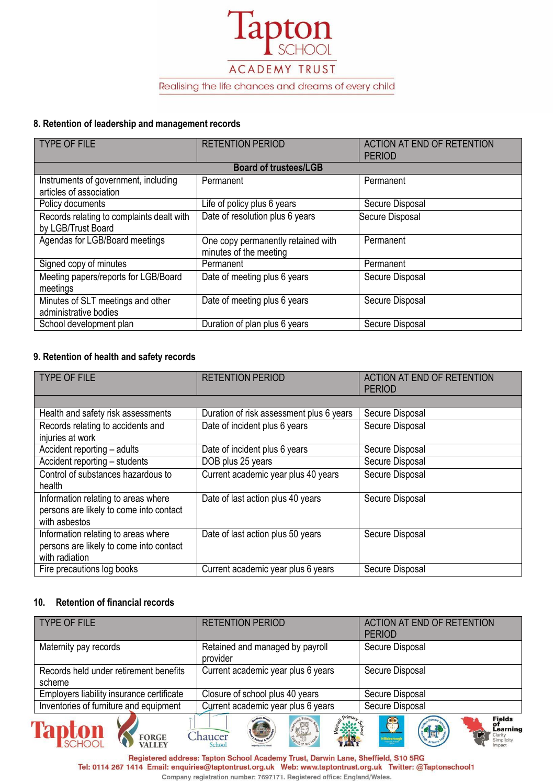

#### **8. Retention of leadership and management records**

| <b>TYPE OF FILE</b>                                             | <b>RETENTION PERIOD</b>                                      | <b>ACTION AT END OF RETENTION</b><br><b>PERIOD</b> |
|-----------------------------------------------------------------|--------------------------------------------------------------|----------------------------------------------------|
|                                                                 | <b>Board of trustees/LGB</b>                                 |                                                    |
| Instruments of government, including<br>articles of association | Permanent                                                    | Permanent                                          |
| Policy documents                                                | Life of policy plus 6 years                                  | Secure Disposal                                    |
| Records relating to complaints dealt with<br>by LGB/Trust Board | Date of resolution plus 6 years                              | Secure Disposal                                    |
| Agendas for LGB/Board meetings                                  | One copy permanently retained with<br>minutes of the meeting | Permanent                                          |
| Signed copy of minutes                                          | Permanent                                                    | Permanent                                          |
| Meeting papers/reports for LGB/Board<br>meetings                | Date of meeting plus 6 years                                 | Secure Disposal                                    |
| Minutes of SLT meetings and other<br>administrative bodies      | Date of meeting plus 6 years                                 | Secure Disposal                                    |
| School development plan                                         | Duration of plan plus 6 years                                | Secure Disposal                                    |

# **9. Retention of health and safety records**

| <b>TYPE OF FILE</b>                                                                              | <b>RETENTION PERIOD</b>                  | <b>ACTION AT END OF RETENTION</b><br><b>PERIOD</b> |
|--------------------------------------------------------------------------------------------------|------------------------------------------|----------------------------------------------------|
|                                                                                                  |                                          |                                                    |
| Health and safety risk assessments                                                               | Duration of risk assessment plus 6 years | Secure Disposal                                    |
| Records relating to accidents and<br>injuries at work                                            | Date of incident plus 6 years            | Secure Disposal                                    |
| Accident reporting - adults                                                                      | Date of incident plus 6 years            | Secure Disposal                                    |
| Accident reporting - students                                                                    | DOB plus 25 years                        | Secure Disposal                                    |
| Control of substances hazardous to<br>health                                                     | Current academic year plus 40 years      | Secure Disposal                                    |
| Information relating to areas where<br>persons are likely to come into contact<br>with asbestos  | Date of last action plus 40 years        | Secure Disposal                                    |
| Information relating to areas where<br>persons are likely to come into contact<br>with radiation | Date of last action plus 50 years        | Secure Disposal                                    |
| Fire precautions log books                                                                       | Current academic year plus 6 years       | Secure Disposal                                    |

#### **10. Retention of financial records**

FORGE VALLEY

| <b>TYPE OF FILE</b>                              | <b>RETENTION PERIOD</b>                     | <b>ACTION AT END OF RETENTION</b><br><b>PERIOD</b>                                |
|--------------------------------------------------|---------------------------------------------|-----------------------------------------------------------------------------------|
| Maternity pay records                            | Retained and managed by payroll<br>provider | Secure Disposal                                                                   |
| Records held under retirement benefits<br>scheme | Current academic year plus 6 years          | Secure Disposal                                                                   |
| Employers liability insurance certificate        | Closure of school plus 40 years             | Secure Disposal                                                                   |
| Inventories of furniture and equipment           | Current academic year plus 6 years          | Secure Disposal                                                                   |
| <b>Tapton</b><br><b>FORGE</b><br><b>VALLEY</b>   | 骤<br>Chaucer<br>School                      | Fields<br>of<br>Learning<br>89<br>一回<br><b>Hillsboroug</b><br>Simplicity<br>mpact |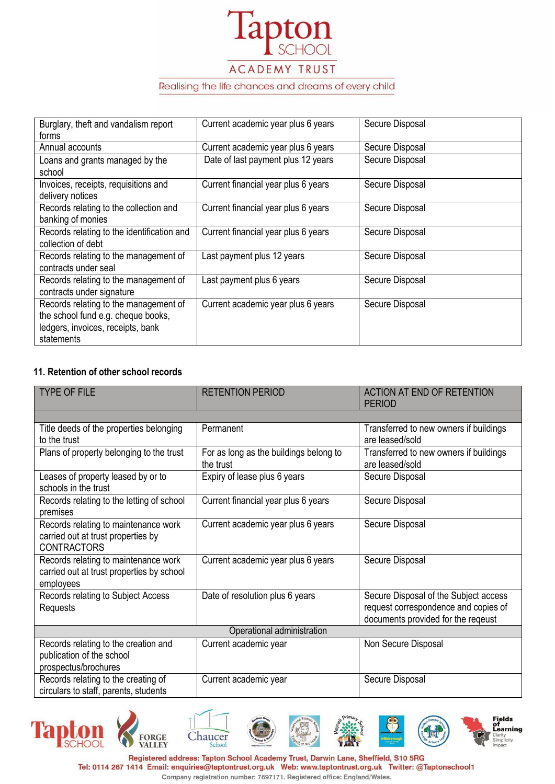

# ACADEMY TRUST

#### Realising the life chances and dreams of every child

| Burglary, theft and vandalism report<br>forms                                                                                  | Current academic year plus 6 years  | Secure Disposal |
|--------------------------------------------------------------------------------------------------------------------------------|-------------------------------------|-----------------|
| Annual accounts                                                                                                                | Current academic year plus 6 years  | Secure Disposal |
| Loans and grants managed by the<br>school                                                                                      | Date of last payment plus 12 years  | Secure Disposal |
| Invoices, receipts, requisitions and<br>delivery notices                                                                       | Current financial year plus 6 years | Secure Disposal |
| Records relating to the collection and<br>banking of monies                                                                    | Current financial year plus 6 years | Secure Disposal |
| Records relating to the identification and<br>collection of debt                                                               | Current financial year plus 6 years | Secure Disposal |
| Records relating to the management of<br>contracts under seal                                                                  | Last payment plus 12 years          | Secure Disposal |
| Records relating to the management of<br>contracts under signature                                                             | Last payment plus 6 years           | Secure Disposal |
| Records relating to the management of<br>the school fund e.g. cheque books,<br>ledgers, invoices, receipts, bank<br>statements | Current academic year plus 6 years  | Secure Disposal |

## **11. Retention of other school records**

| <b>TYPE OF FILE</b>                       | <b>RETENTION PERIOD</b>                | <b>ACTION AT END OF RETENTION</b><br><b>PERIOD</b> |
|-------------------------------------------|----------------------------------------|----------------------------------------------------|
|                                           |                                        |                                                    |
| Title deeds of the properties belonging   | Permanent                              | Transferred to new owners if buildings             |
| to the trust                              |                                        | are leased/sold                                    |
| Plans of property belonging to the trust  | For as long as the buildings belong to | Transferred to new owners if buildings             |
|                                           | the trust                              | are leased/sold                                    |
| Leases of property leased by or to        | Expiry of lease plus 6 years           | Secure Disposal                                    |
| schools in the trust                      |                                        |                                                    |
| Records relating to the letting of school | Current financial year plus 6 years    | Secure Disposal                                    |
| premises                                  |                                        |                                                    |
| Records relating to maintenance work      | Current academic year plus 6 years     | Secure Disposal                                    |
| carried out at trust properties by        |                                        |                                                    |
| <b>CONTRACTORS</b>                        |                                        |                                                    |
| Records relating to maintenance work      | Current academic year plus 6 years     | Secure Disposal                                    |
| carried out at trust properties by school |                                        |                                                    |
| employees                                 |                                        |                                                    |
| Records relating to Subject Access        | Date of resolution plus 6 years        | Secure Disposal of the Subject access              |
| Requests                                  |                                        | request correspondence and copies of               |
|                                           |                                        | documents provided for the reqeust                 |
| Operational administration                |                                        |                                                    |
| Records relating to the creation and      | Current academic year                  | Non Secure Disposal                                |
| publication of the school                 |                                        |                                                    |
| prospectus/brochures                      |                                        |                                                    |
| Records relating to the creating of       | Current academic year                  | Secure Disposal                                    |
| circulars to staff, parents, students     |                                        |                                                    |

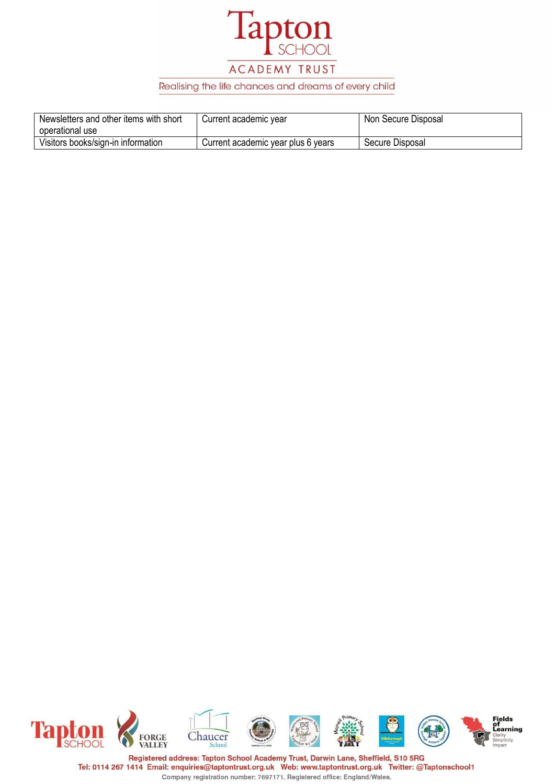

# ACADEMY TRUST

#### Realising the life chances and dreams of every child

| Newsletters and other items with short<br>operational use | Current academic year              | Non Secure Disposal |
|-----------------------------------------------------------|------------------------------------|---------------------|
| Visitors books/sign-in information                        | Current academic year plus 6 years | Secure Disposal     |